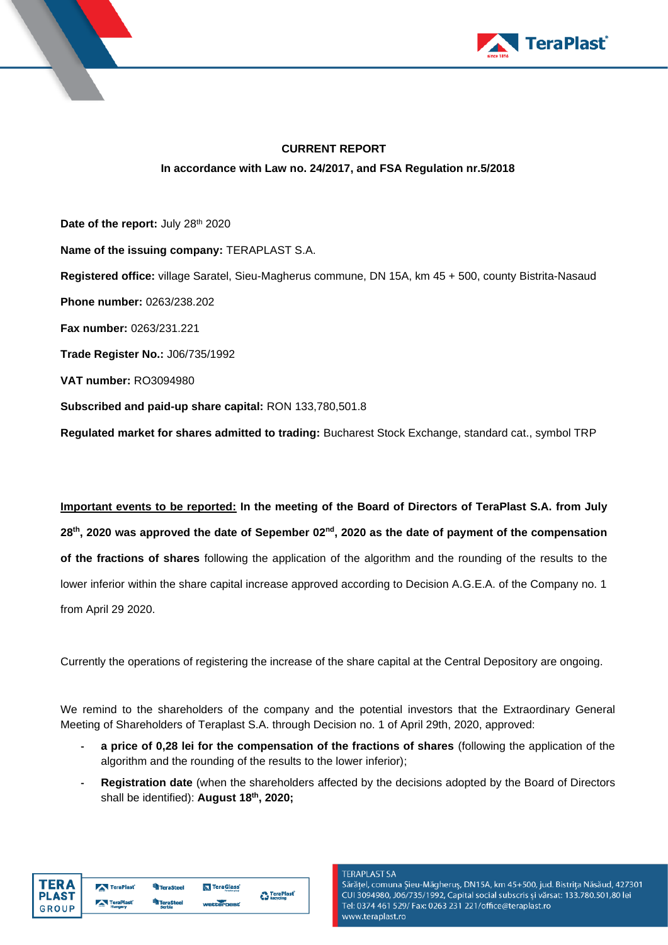



## **CURRENT REPORT In accordance with Law no. 24/2017, and FSA Regulation nr.5/2018**

Date of the report: July 28<sup>th</sup> 2020 **Name of the issuing company:** TERAPLAST S.A. **Registered office:** village Saratel, Sieu-Magherus commune, DN 15A, km 45 + 500, county Bistrita-Nasaud **Phone number:** 0263/238.202 **Fax number:** 0263/231.221 **Trade Register No.:** J06/735/1992 **VAT number:** RO3094980 **Subscribed and paid-up share capital:** RON 133,780,501.8

**Regulated market for shares admitted to trading:** Bucharest Stock Exchange, standard cat., symbol TRP

**Important events to be reported: In the meeting of the Board of Directors of TeraPlast S.A. from July** 28<sup>th</sup>, 2020 was approved the date of Sepember 02<sup>nd</sup>, 2020 as the date of payment of the compensation **of the fractions of shares** following the application of the algorithm and the rounding of the results to the lower inferior within the share capital increase approved according to Decision A.G.E.A. of the Company no. 1 from April 29 2020.

Currently the operations of registering the increase of the share capital at the Central Depository are ongoing.

We remind to the shareholders of the company and the potential investors that the Extraordinary General Meeting of Shareholders of Teraplast S.A. through Decision no. 1 of April 29th, 2020, approved:

- **- a price of 0,28 lei for the compensation of the fractions of shares** (following the application of the algorithm and the rounding of the results to the lower inferior);
- **- Registration date** (when the shareholders affected by the decisions adopted by the Board of Directors shall be identified): **August 18 th , 2020;**

| <b>TERA</b>                  | TeraPlast | TeraSteel                  | <b>N</b> TeraGlass |                    |
|------------------------------|-----------|----------------------------|--------------------|--------------------|
| <b>PLAST</b><br><b>GROUP</b> | TeraPlast | <b>TeraSteel</b><br>Serbia | wetterheat.        | <b>C</b> TeraPlast |

#### **TERAPI AST SA**

Sărățel, comuna Șieu-Măgheruș, DN15A, km 45+500, jud. Bistrița Năsăud, 427301 CUI 3094980, J06/735/1992, Capital social subscris și vărsat: 133.780.501,80 lei Tel: 0374 461 529/ Fax: 0263 231 221/office@teraplast.ro www.teraplast.ro